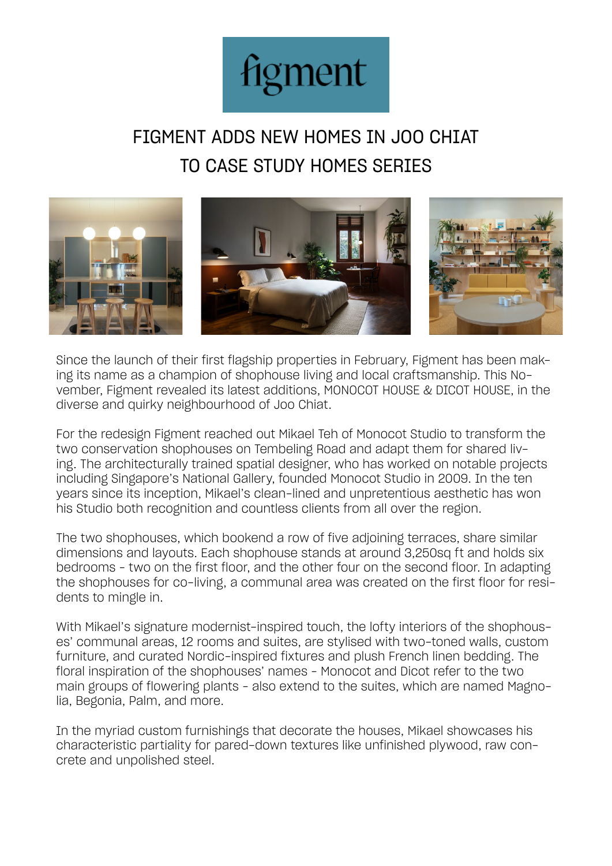

# FIGMENT ADDS NEW HOMES IN JOO CHIAT TO CASE STUDY HOMES SERIES



Since the launch of their first flagship properties in February, Figment has been making its name as a champion of shophouse living and local craftsmanship. This November, Figment revealed its latest additions, MONOCOT HOUSE & DICOT HOUSE, in the diverse and quirky neighbourhood of Joo Chiat.

For the redesign Figment reached out Mikael Teh of Monocot Studio to transform the two conservation shophouses on Tembeling Road and adapt them for shared living. The architecturally trained spatial designer, who has worked on notable projects including Singapore's National Gallery, founded Monocot Studio in 2009. In the ten years since its inception, Mikael's clean-lined and unpretentious aesthetic has won his Studio both recognition and countless clients from all over the region.

The two shophouses, which bookend a row of five adjoining terraces, share similar dimensions and layouts. Each shophouse stands at around 3,250sq ft and holds six bedrooms – two on the first floor, and the other four on the second floor. In adapting the shophouses for co-living, a communal area was created on the first floor for residents to mingle in.

With Mikael's signature modernist-inspired touch, the lofty interiors of the shophouses' communal areas, 12 rooms and suites, are stylised with two-toned walls, custom furniture, and curated Nordic-inspired fixtures and plush French linen bedding. The floral inspiration of the shophouses' names – Monocot and Dicot refer to the two main groups of flowering plants – also extend to the suites, which are named Magnolia, Begonia, Palm, and more.

In the myriad custom furnishings that decorate the houses, Mikael showcases his characteristic partiality for pared-down textures like unfinished plywood, raw concrete and unpolished steel.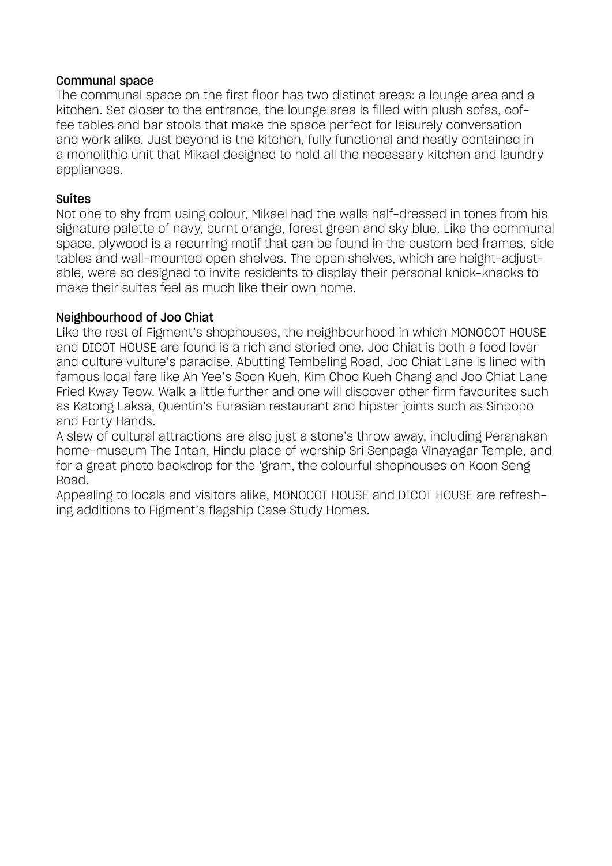#### Communal space

The communal space on the first floor has two distinct areas: a lounge area and a kitchen. Set closer to the entrance, the lounge area is filled with plush sofas, coffee tables and bar stools that make the space perfect for leisurely conversation and work alike. Just beyond is the kitchen, fully functional and neatly contained in a monolithic unit that Mikael designed to hold all the necessary kitchen and laundry appliances.

# Suites

Not one to shy from using colour, Mikael had the walls half-dressed in tones from his signature palette of navy, burnt orange, forest green and sky blue. Like the communal space, plywood is a recurring motif that can be found in the custom bed frames, side tables and wall-mounted open shelves. The open shelves, which are height-adjustable, were so designed to invite residents to display their personal knick-knacks to make their suites feel as much like their own home.

# Neighbourhood of Joo Chiat

Like the rest of Figment's shophouses, the neighbourhood in which MONOCOT HOUSE and DICOT HOUSE are found is a rich and storied one. Joo Chiat is both a food lover and culture vulture's paradise. Abutting Tembeling Road, Joo Chiat Lane is lined with famous local fare like Ah Yee's Soon Kueh, Kim Choo Kueh Chang and Joo Chiat Lane Fried Kway Teow. Walk a little further and one will discover other firm favourites such as Katong Laksa, Quentin's Eurasian restaurant and hipster joints such as Sinpopo and Forty Hands.

A slew of cultural attractions are also just a stone's throw away, including Peranakan home-museum The Intan, Hindu place of worship Sri Senpaga Vinayagar Temple, and for a great photo backdrop for the 'gram, the colourful shophouses on Koon Seng Road.

Appealing to locals and visitors alike, MONOCOT HOUSE and DICOT HOUSE are refreshing additions to Figment's flagship Case Study Homes.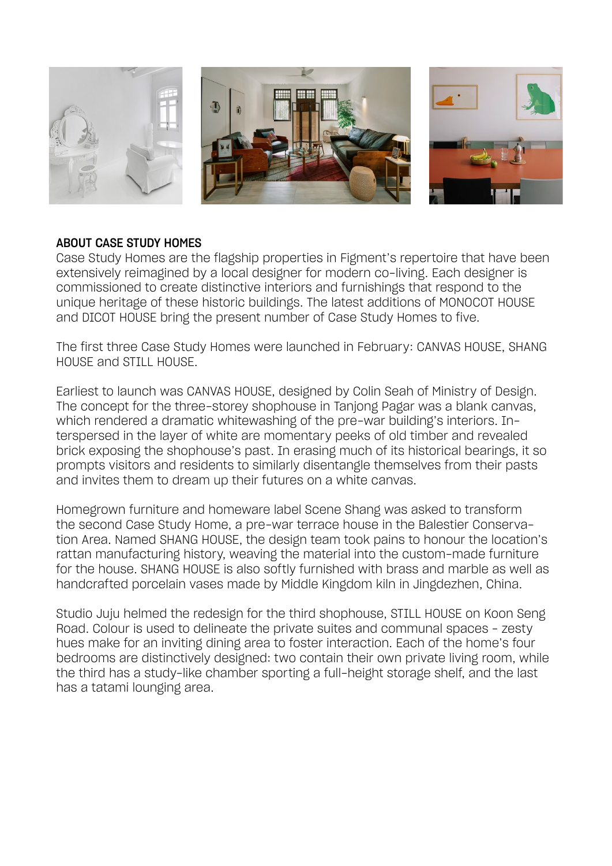

#### ABOUT CASE STUDY HOMES

Case Study Homes are the flagship properties in Figment's repertoire that have been extensively reimagined by a local designer for modern co-living. Each designer is commissioned to create distinctive interiors and furnishings that respond to the unique heritage of these historic buildings. The latest additions of MONOCOT HOUSE and DICOT HOUSE bring the present number of Case Study Homes to five.

The first three Case Study Homes were launched in February: CANVAS HOUSE, SHANG HOUSE and STILL HOUSE.

Earliest to launch was CANVAS HOUSE, designed by Colin Seah of Ministry of Design. The concept for the three-storey shophouse in Tanjong Pagar was a blank canvas, which rendered a dramatic whitewashing of the pre-war building's interiors. Interspersed in the layer of white are momentary peeks of old timber and revealed brick exposing the shophouse's past. In erasing much of its historical bearings, it so prompts visitors and residents to similarly disentangle themselves from their pasts and invites them to dream up their futures on a white canvas.

Homegrown furniture and homeware label Scene Shang was asked to transform the second Case Study Home, a pre-war terrace house in the Balestier Conservation Area. Named SHANG HOUSE, the design team took pains to honour the location's rattan manufacturing history, weaving the material into the custom-made furniture for the house. SHANG HOUSE is also softly furnished with brass and marble as well as handcrafted porcelain vases made by Middle Kingdom kiln in Jingdezhen, China.

Studio Juju helmed the redesign for the third shophouse, STILL HOUSE on Koon Seng Road. Colour is used to delineate the private suites and communal spaces – zesty hues make for an inviting dining area to foster interaction. Each of the home's four bedrooms are distinctively designed: two contain their own private living room, while the third has a study-like chamber sporting a full-height storage shelf, and the last has a tatami lounging area.